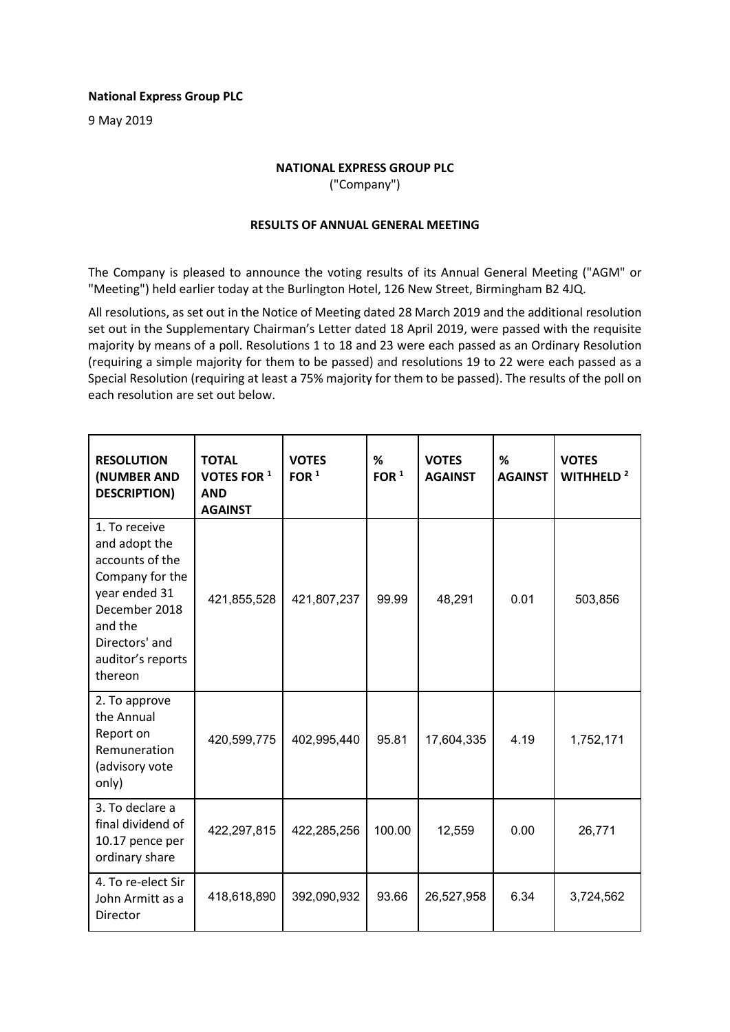## **National Express Group PLC**

9 May 2019

## **NATIONAL EXPRESS GROUP PLC**

("Company")

## **RESULTS OF ANNUAL GENERAL MEETING**

The Company is pleased to announce the voting results of its Annual General Meeting ("AGM" or "Meeting") held earlier today at the Burlington Hotel, 126 New Street, Birmingham B2 4JQ.

All resolutions, as set out in the Notice of Meeting dated 28 March 2019 and the additional resolution set out in the Supplementary Chairman's Letter dated 18 April 2019, were passed with the requisite majority by means of a poll. Resolutions 1 to 18 and 23 were each passed as an Ordinary Resolution (requiring a simple majority for them to be passed) and resolutions 19 to 22 were each passed as a Special Resolution (requiring at least a 75% majority for them to be passed). The results of the poll on each resolution are set out below.

| <b>RESOLUTION</b><br>(NUMBER AND<br><b>DESCRIPTION)</b>                                                                                                             | <b>TOTAL</b><br>VOTES FOR 1<br><b>AND</b><br><b>AGAINST</b> | <b>VOTES</b><br>FOR $1$ | %<br>FOR $1$ | <b>VOTES</b><br><b>AGAINST</b> | %<br><b>AGAINST</b> | <b>VOTES</b><br>WITHHELD <sup>2</sup> |
|---------------------------------------------------------------------------------------------------------------------------------------------------------------------|-------------------------------------------------------------|-------------------------|--------------|--------------------------------|---------------------|---------------------------------------|
| 1. To receive<br>and adopt the<br>accounts of the<br>Company for the<br>year ended 31<br>December 2018<br>and the<br>Directors' and<br>auditor's reports<br>thereon | 421,855,528                                                 | 421,807,237             | 99.99        | 48,291                         | 0.01                | 503,856                               |
| 2. To approve<br>the Annual<br>Report on<br>Remuneration<br>(advisory vote<br>only)                                                                                 | 420,599,775                                                 | 402,995,440             | 95.81        | 17,604,335                     | 4.19                | 1,752,171                             |
| 3. To declare a<br>final dividend of<br>10.17 pence per<br>ordinary share                                                                                           | 422,297,815                                                 | 422,285,256             | 100.00       | 12,559                         | 0.00                | 26,771                                |
| 4. To re-elect Sir<br>John Armitt as a<br>Director                                                                                                                  | 418,618,890                                                 | 392,090,932             | 93.66        | 26,527,958                     | 6.34                | 3,724,562                             |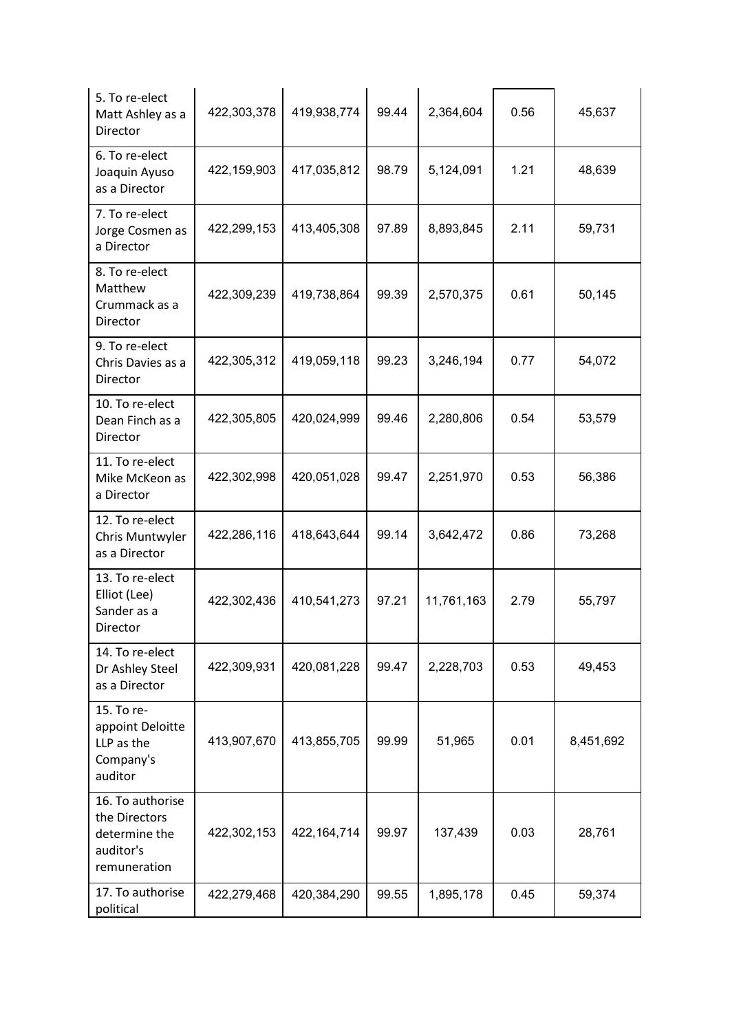| 5. To re-elect<br>Matt Ashley as a<br>Director                                  | 422,303,378 | 419,938,774   | 99.44 | 2,364,604  | 0.56 | 45,637    |
|---------------------------------------------------------------------------------|-------------|---------------|-------|------------|------|-----------|
| 6. To re-elect<br>Joaquin Ayuso<br>as a Director                                | 422,159,903 | 417,035,812   | 98.79 | 5,124,091  | 1.21 | 48,639    |
| 7. To re-elect<br>Jorge Cosmen as<br>a Director                                 | 422,299,153 | 413,405,308   | 97.89 | 8,893,845  | 2.11 | 59,731    |
| 8. To re-elect<br>Matthew<br>Crummack as a<br>Director                          | 422,309,239 | 419,738,864   | 99.39 | 2,570,375  | 0.61 | 50,145    |
| 9. To re-elect<br>Chris Davies as a<br>Director                                 | 422,305,312 | 419,059,118   | 99.23 | 3,246,194  | 0.77 | 54,072    |
| 10. To re-elect<br>Dean Finch as a<br>Director                                  | 422,305,805 | 420,024,999   | 99.46 | 2,280,806  | 0.54 | 53,579    |
| 11. To re-elect<br>Mike McKeon as<br>a Director                                 | 422,302,998 | 420,051,028   | 99.47 | 2,251,970  | 0.53 | 56,386    |
| 12. To re-elect<br>Chris Muntwyler<br>as a Director                             | 422,286,116 | 418,643,644   | 99.14 | 3,642,472  | 0.86 | 73,268    |
| 13. To re-elect<br>Elliot (Lee)<br>Sander as a<br>Director                      | 422,302,436 | 410,541,273   | 97.21 | 11,761,163 | 2.79 | 55,797    |
| 14. To re-elect<br>Dr Ashley Steel<br>as a Director                             | 422,309,931 | 420,081,228   | 99.47 | 2,228,703  | 0.53 | 49,453    |
| 15. To re-<br>appoint Deloitte<br>LLP as the<br>Company's<br>auditor            | 413,907,670 | 413,855,705   | 99.99 | 51,965     | 0.01 | 8,451,692 |
| 16. To authorise<br>the Directors<br>determine the<br>auditor's<br>remuneration | 422,302,153 | 422, 164, 714 | 99.97 | 137,439    | 0.03 | 28,761    |
| 17. To authorise<br>political                                                   | 422,279,468 | 420,384,290   | 99.55 | 1,895,178  | 0.45 | 59,374    |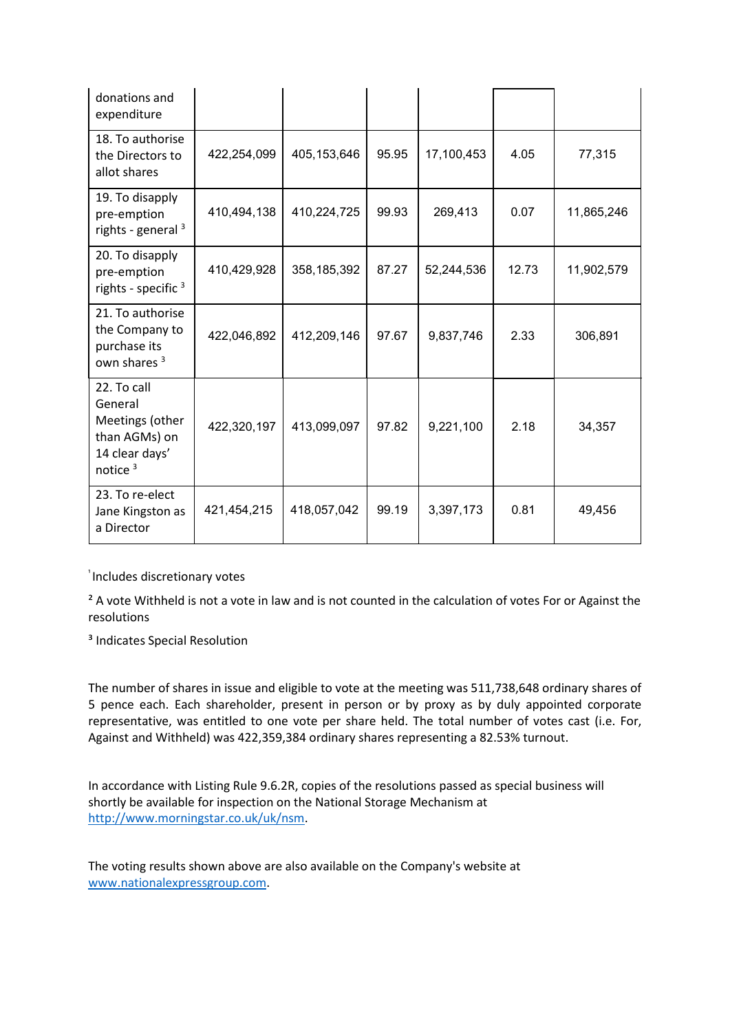| donations and<br>expenditure                                                               |             |               |       |            |       |            |
|--------------------------------------------------------------------------------------------|-------------|---------------|-------|------------|-------|------------|
| 18. To authorise<br>the Directors to<br>allot shares                                       | 422,254,099 | 405, 153, 646 | 95.95 | 17,100,453 | 4.05  | 77,315     |
| 19. To disapply<br>pre-emption<br>rights - general $3$                                     | 410,494,138 | 410,224,725   | 99.93 | 269,413    | 0.07  | 11,865,246 |
| 20. To disapply<br>pre-emption<br>rights - specific $3$                                    | 410,429,928 | 358, 185, 392 | 87.27 | 52,244,536 | 12.73 | 11,902,579 |
| 21. To authorise<br>the Company to<br>purchase its<br>own shares <sup>3</sup>              | 422,046,892 | 412,209,146   | 97.67 | 9,837,746  | 2.33  | 306,891    |
| 22. To call<br>General<br>Meetings (other<br>than AGMs) on<br>14 clear days'<br>notice $3$ | 422,320,197 | 413,099,097   | 97.82 | 9,221,100  | 2.18  | 34,357     |
| 23. To re-elect<br>Jane Kingston as<br>a Director                                          | 421,454,215 | 418,057,042   | 99.19 | 3,397,173  | 0.81  | 49,456     |

<sup>1</sup> Includes discretionary votes

<sup>2</sup> A vote Withheld is not a vote in law and is not counted in the calculation of votes For or Against the resolutions

<sup>3</sup> Indicates Special Resolution

The number of shares in issue and eligible to vote at the meeting was 511,738,648 ordinary shares of 5 pence each. Each shareholder, present in person or by proxy as by duly appointed corporate representative, was entitled to one vote per share held. The total number of votes cast (i.e. For, Against and Withheld) was 422,359,384 ordinary shares representing a 82.53% turnout.

In accordance with Listing Rule 9.6.2R, copies of the resolutions passed as special business will shortly be available for inspection on the National Storage Mechanism at [http://www.morningstar.co.uk/uk/nsm.](http://www.morningstar.co.uk/uk/nsm)

The voting results shown above are also available on the Company's website at [www.nationalexpressgroup.com.](http://www.nationalexpressgroup.com/)